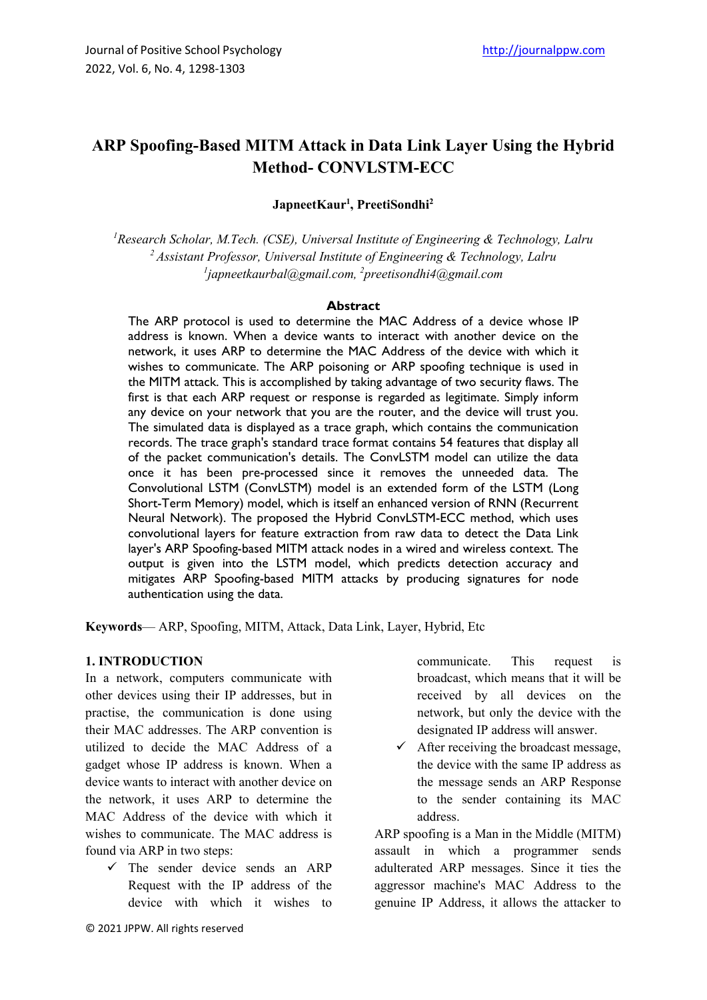# **ARP Spoofing-Based MITM Attack in Data Link Layer Using the Hybrid Method- CONVLSTM-ECC**

**JapneetKaur1 , PreetiSondhi2**

*1 Research Scholar, M.Tech. (CSE), Universal Institute of Engineering & Technology, Lalru 2 Assistant Professor, Universal Institute of Engineering & Technology, Lalru 1 japneetkaurbal@gmail.com, 2 preetisondhi4@gmail.com*

#### **Abstract**

The ARP protocol is used to determine the MAC Address of a device whose IP address is known. When a device wants to interact with another device on the network, it uses ARP to determine the MAC Address of the device with which it wishes to communicate. The ARP poisoning or ARP spoofing technique is used in the MITM attack. This is accomplished by taking advantage of two security flaws. The first is that each ARP request or response is regarded as legitimate. Simply inform any device on your network that you are the router, and the device will trust you. The simulated data is displayed as a trace graph, which contains the communication records. The trace graph's standard trace format contains 54 features that display all of the packet communication's details. The ConvLSTM model can utilize the data once it has been pre-processed since it removes the unneeded data. The Convolutional LSTM (ConvLSTM) model is an extended form of the LSTM (Long Short-Term Memory) model, which is itself an enhanced version of RNN (Recurrent Neural Network). The proposed the Hybrid ConvLSTM-ECC method, which uses convolutional layers for feature extraction from raw data to detect the Data Link layer's ARP Spoofing-based MITM attack nodes in a wired and wireless context. The output is given into the LSTM model, which predicts detection accuracy and mitigates ARP Spoofing-based MITM attacks by producing signatures for node authentication using the data.

**Keywords**— ARP, Spoofing, MITM, Attack, Data Link, Layer, Hybrid, Etc

# **1. INTRODUCTION**

In a network, computers communicate with other devices using their IP addresses, but in practise, the communication is done using their MAC addresses. The ARP convention is utilized to decide the MAC Address of a gadget whose IP address is known. When a device wants to interact with another device on the network, it uses ARP to determine the MAC Address of the device with which it wishes to communicate. The MAC address is found via ARP in two steps:

 $\checkmark$  The sender device sends an ARP Request with the IP address of the device with which it wishes to communicate. This request is broadcast, which means that it will be received by all devices on the network, but only the device with the designated IP address will answer.

 $\checkmark$  After receiving the broadcast message, the device with the same IP address as the message sends an ARP Response to the sender containing its MAC address.

ARP spoofing is a Man in the Middle (MITM) assault in which a programmer sends adulterated ARP messages. Since it ties the aggressor machine's MAC Address to the genuine IP Address, it allows the attacker to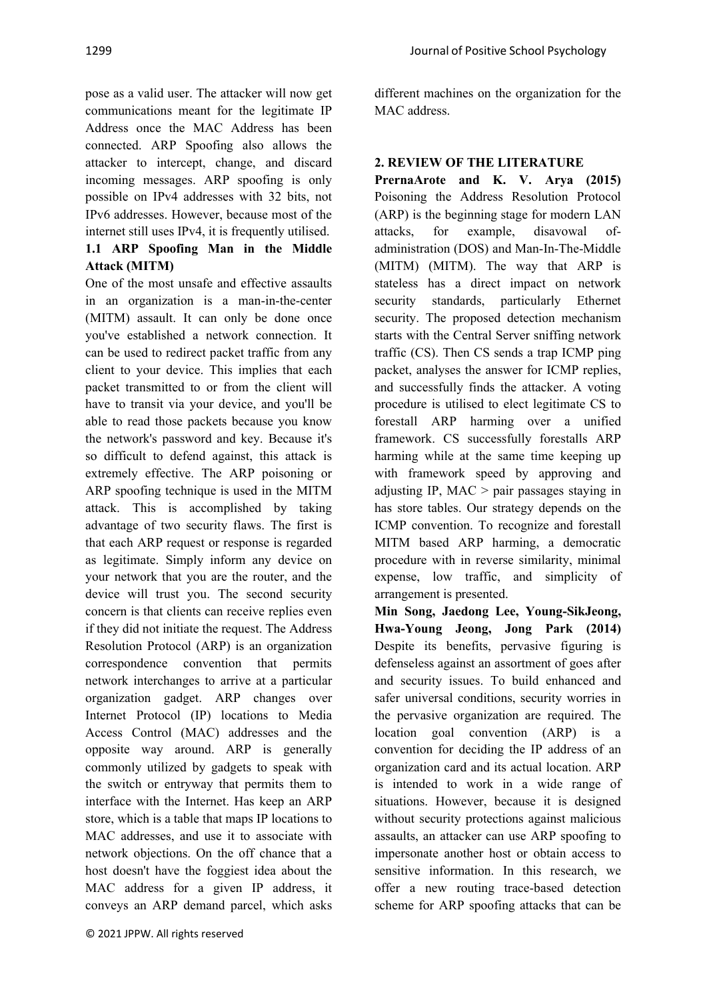pose as a valid user. The attacker will now get communications meant for the legitimate IP Address once the MAC Address has been connected. ARP Spoofing also allows the attacker to intercept, change, and discard incoming messages. ARP spoofing is only possible on IPv4 addresses with 32 bits, not IPv6 addresses. However, because most of the internet still uses IPv4, it is frequently utilised. **1.1 ARP Spoofing Man in the Middle Attack (MITM)**

One of the most unsafe and effective assaults in an organization is a man-in-the-center (MITM) assault. It can only be done once you've established a network connection. It can be used to redirect packet traffic from any client to your device. This implies that each packet transmitted to or from the client will have to transit via your device, and you'll be able to read those packets because you know the network's password and key. Because it's so difficult to defend against, this attack is extremely effective. The ARP poisoning or ARP spoofing technique is used in the MITM attack. This is accomplished by taking advantage of two security flaws. The first is that each ARP request or response is regarded as legitimate. Simply inform any device on your network that you are the router, and the device will trust you. The second security concern is that clients can receive replies even if they did not initiate the request. The Address Resolution Protocol (ARP) is an organization correspondence convention that permits network interchanges to arrive at a particular organization gadget. ARP changes over Internet Protocol (IP) locations to Media Access Control (MAC) addresses and the opposite way around. ARP is generally commonly utilized by gadgets to speak with the switch or entryway that permits them to interface with the Internet. Has keep an ARP store, which is a table that maps IP locations to MAC addresses, and use it to associate with network objections. On the off chance that a host doesn't have the foggiest idea about the MAC address for a given IP address, it conveys an ARP demand parcel, which asks

different machines on the organization for the MAC address.

# **2. REVIEW OF THE LITERATURE**

**PrernaArote and K. V. Arya (2015)**  Poisoning the Address Resolution Protocol (ARP) is the beginning stage for modern LAN attacks, for example, disavowal ofadministration (DOS) and Man-In-The-Middle (MITM) (MITM). The way that ARP is stateless has a direct impact on network security standards, particularly Ethernet security. The proposed detection mechanism starts with the Central Server sniffing network traffic (CS). Then CS sends a trap ICMP ping packet, analyses the answer for ICMP replies, and successfully finds the attacker. A voting procedure is utilised to elect legitimate CS to forestall ARP harming over a unified framework. CS successfully forestalls ARP harming while at the same time keeping up with framework speed by approving and adjusting IP, MAC > pair passages staying in has store tables. Our strategy depends on the ICMP convention. To recognize and forestall MITM based ARP harming, a democratic procedure with in reverse similarity, minimal expense, low traffic, and simplicity of arrangement is presented.

**Min Song, Jaedong Lee, Young-SikJeong, Hwa-Young Jeong, Jong Park (2014)**  Despite its benefits, pervasive figuring is defenseless against an assortment of goes after and security issues. To build enhanced and safer universal conditions, security worries in the pervasive organization are required. The  $location$  goal convention  $(ARP)$  is convention for deciding the IP address of an organization card and its actual location. ARP is intended to work in a wide range of situations. However, because it is designed without security protections against malicious assaults, an attacker can use ARP spoofing to impersonate another host or obtain access to sensitive information. In this research, we offer a new routing trace-based detection scheme for ARP spoofing attacks that can be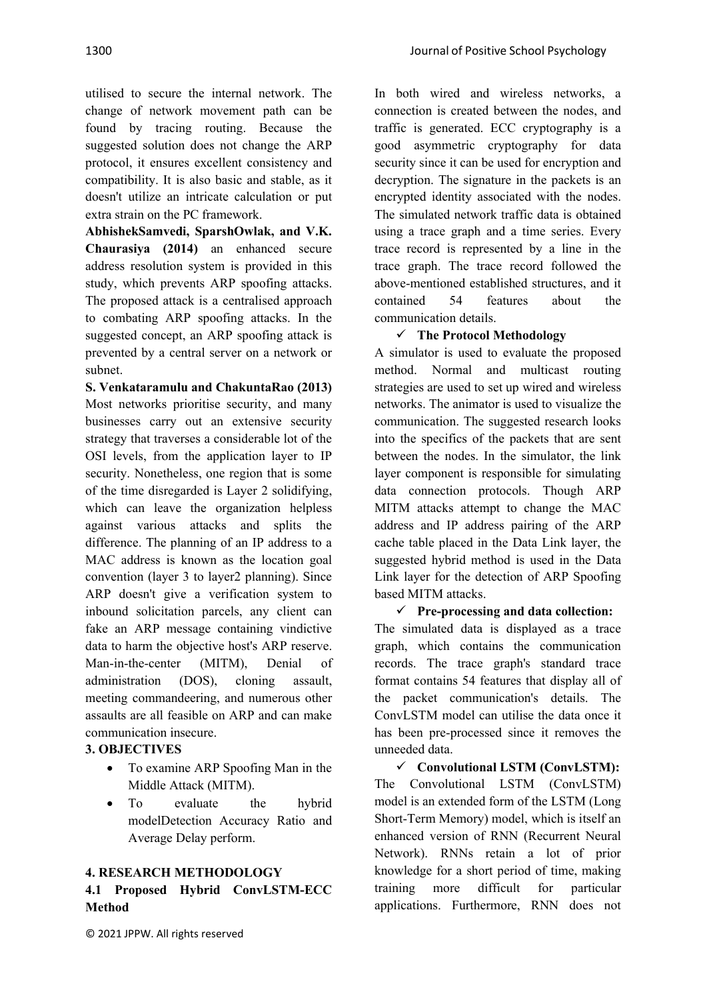utilised to secure the internal network. The change of network movement path can be found by tracing routing. Because the suggested solution does not change the ARP protocol, it ensures excellent consistency and compatibility. It is also basic and stable, as it doesn't utilize an intricate calculation or put extra strain on the PC framework.

**AbhishekSamvedi, SparshOwlak, and V.K. Chaurasiya (2014)** an enhanced secure address resolution system is provided in this study, which prevents ARP spoofing attacks. The proposed attack is a centralised approach to combating ARP spoofing attacks. In the suggested concept, an ARP spoofing attack is prevented by a central server on a network or subnet.

**S. Venkataramulu and ChakuntaRao (2013)**  Most networks prioritise security, and many businesses carry out an extensive security strategy that traverses a considerable lot of the OSI levels, from the application layer to IP security. Nonetheless, one region that is some of the time disregarded is Layer 2 solidifying, which can leave the organization helpless against various attacks and splits the difference. The planning of an IP address to a MAC address is known as the location goal convention (layer 3 to layer2 planning). Since ARP doesn't give a verification system to inbound solicitation parcels, any client can fake an ARP message containing vindictive data to harm the objective host's ARP reserve. Man-in-the-center (MITM), Denial of administration (DOS), cloning assault, meeting commandeering, and numerous other assaults are all feasible on ARP and can make communication insecure.

# **3. OBJECTIVES**

- To examine ARP Spoofing Man in the Middle Attack (MITM).
- To evaluate the hybrid modelDetection Accuracy Ratio and Average Delay perform.

#### **4. RESEARCH METHODOLOGY**

# **4.1 Proposed Hybrid ConvLSTM-ECC Method**

In both wired and wireless networks, a connection is created between the nodes, and traffic is generated. ECC cryptography is a good asymmetric cryptography for data security since it can be used for encryption and decryption. The signature in the packets is an encrypted identity associated with the nodes. The simulated network traffic data is obtained using a trace graph and a time series. Every trace record is represented by a line in the trace graph. The trace record followed the above-mentioned established structures, and it contained 54 features about the communication details.

#### ¸ **The Protocol Methodology**

A simulator is used to evaluate the proposed method. Normal and multicast routing strategies are used to set up wired and wireless networks. The animator is used to visualize the communication. The suggested research looks into the specifics of the packets that are sent between the nodes. In the simulator, the link layer component is responsible for simulating data connection protocols. Though ARP MITM attacks attempt to change the MAC address and IP address pairing of the ARP cache table placed in the Data Link layer, the suggested hybrid method is used in the Data Link layer for the detection of ARP Spoofing based MITM attacks.

¸ **Pre-processing and data collection:** The simulated data is displayed as a trace graph, which contains the communication records. The trace graph's standard trace format contains 54 features that display all of the packet communication's details. The ConvLSTM model can utilise the data once it has been pre-processed since it removes the unneeded data.

¸ **Convolutional LSTM (ConvLSTM):**  The Convolutional LSTM (ConvLSTM) model is an extended form of the LSTM (Long Short-Term Memory) model, which is itself an enhanced version of RNN (Recurrent Neural Network). RNNs retain a lot of prior knowledge for a short period of time, making training more difficult for particular applications. Furthermore, RNN does not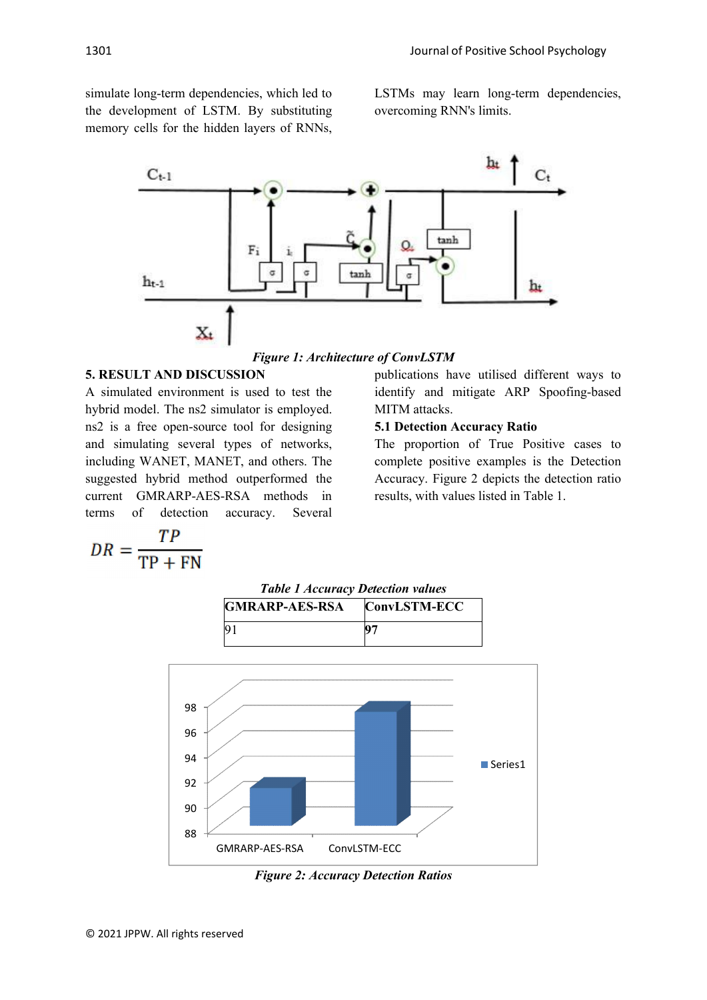simulate long-term dependencies, which led to the development of LSTM. By substituting memory cells for the hidden layers of RNNs, LSTMs may learn long-term dependencies, overcoming RNN's limits.



*Figure 1: Architecture of ConvLSTM*

### **5. RESULT AND DISCUSSION**

A simulated environment is used to test the hybrid model. The ns2 simulator is employed. ns2 is a free open-source tool for designing and simulating several types of networks, including WANET, MANET, and others. The suggested hybrid method outperformed the current GMRARP-AES-RSA methods in terms of detection accuracy. Several

$$
DR = \frac{TP}{TP + FN}
$$

publications have utilised different ways to identify and mitigate ARP Spoofing-based MITM attacks.

### **5.1 Detection Accuracy Ratio**

The proportion of True Positive cases to complete positive examples is the Detection Accuracy. Figure 2 depicts the detection ratio results, with values listed in Table 1.



*Figure 2: Accuracy Detection Ratios*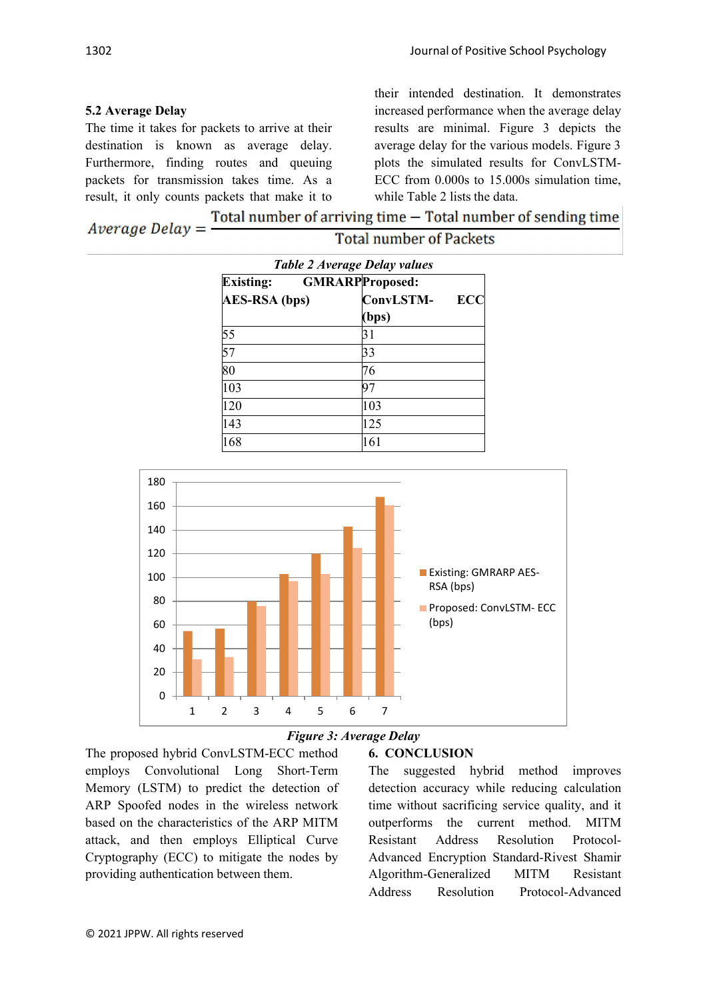# **5.2 Average Delay**

The time it takes for packets to arrive at their destination is known as average delay. Furthermore, finding routes and queuing packets for transmission takes time. As a result, it only counts packets that make it to

their intended destination. It demonstrates increased performance when the average delay results are minimal. Figure 3 depicts the average delay for the various models. Figure 3 plots the simulated results for ConvLSTM-ECC from 0.000s to 15.000s simulation time, while Table 2 lists the data.

| $Average$ $Delay =$ | Total number of arriving time $-$ Total number of sending time |
|---------------------|----------------------------------------------------------------|
|                     | <b>Total number of Packets</b>                                 |

| Table 2 Average Delay values               |                  |     |  |
|--------------------------------------------|------------------|-----|--|
| <b>GMRARPProposed:</b><br><b>Existing:</b> |                  |     |  |
| <b>AES-RSA</b> (bps)                       | <b>ConvLSTM-</b> | ECC |  |
|                                            | (bps)            |     |  |
| 55                                         | 31               |     |  |
| 57                                         | 33               |     |  |
| $\overline{80}$                            | 76               |     |  |
| 103                                        | 97               |     |  |
| 120                                        | 103              |     |  |
| 143                                        | 125              |     |  |
| 168                                        | 161              |     |  |



# *Figure 3: Average Delay*

The proposed hybrid ConvLSTM-ECC method employs Convolutional Long Short-Term Memory (LSTM) to predict the detection of ARP Spoofed nodes in the wireless network based on the characteristics of the ARP MITM attack, and then employs Elliptical Curve Cryptography (ECC) to mitigate the nodes by providing authentication between them.

# **6. CONCLUSION**

The suggested hybrid method improves detection accuracy while reducing calculation time without sacrificing service quality, and it outperforms the current method. MITM Resistant Address Resolution Protocol-Advanced Encryption Standard-Rivest Shamir Algorithm-Generalized MITM Resistant Address Resolution Protocol-Advanced